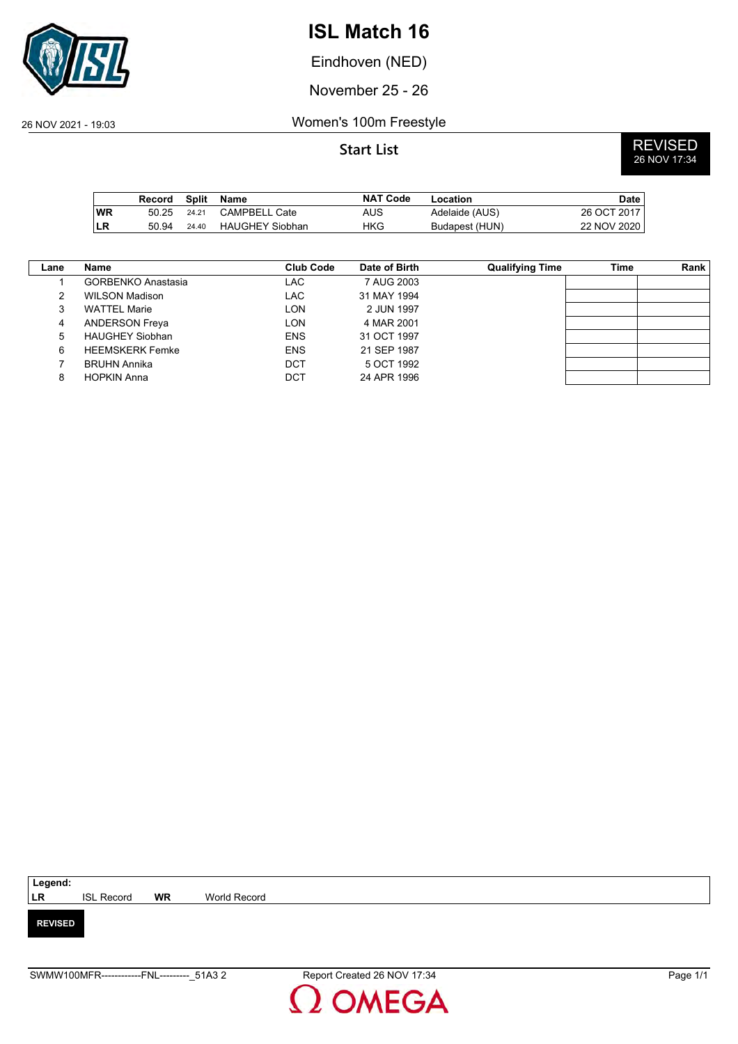

Eindhoven (NED)

November 25 - 26

## 26 NOV 2021 - 19:03 Women's 100m Freestyle

|     | Record | Split | Name                   | <b>NAT Code</b> | Location       | <b>Date</b> |
|-----|--------|-------|------------------------|-----------------|----------------|-------------|
| ∣WR | 50.25  | 24.21 | CAMPBELL Cate          | AUS             | Adelaide (AUS) | 26 OCT 2017 |
| ∣LR | 50.94  | 24.40 | <b>HAUGHEY Siobhan</b> | HKG             | Budapest (HUN) | 22 NOV 2020 |

| $\mathsf{Lane}$ | Name                      | Club Code  | Date of Birth | <b>Qualifying Time</b> | Time | Rank |
|-----------------|---------------------------|------------|---------------|------------------------|------|------|
|                 | <b>GORBENKO Anastasia</b> | LAC.       | 7 AUG 2003    |                        |      |      |
| 2               | <b>WILSON Madison</b>     | LAC        | 31 MAY 1994   |                        |      |      |
| 3               | <b>WATTEL Marie</b>       | LON        | 2 JUN 1997    |                        |      |      |
| 4               | <b>ANDERSON Freya</b>     | LON        | 4 MAR 2001    |                        |      |      |
| 5               | <b>HAUGHEY Siobhan</b>    | <b>ENS</b> | 31 OCT 1997   |                        |      |      |
| 6               | <b>HEEMSKERK Femke</b>    | <b>ENS</b> | 21 SEP 1987   |                        |      |      |
|                 | <b>BRUHN Annika</b>       | DCT        | 5 OCT 1992    |                        |      |      |
| 8               | <b>HOPKIN Anna</b>        | DCT        | 24 APR 1996   |                        |      |      |

| Legend:        |                   |           |              |
|----------------|-------------------|-----------|--------------|
| <b>LR</b>      | <b>ISL Record</b> | <b>WR</b> | World Record |
|                |                   |           |              |
| <b>REVISED</b> |                   |           |              |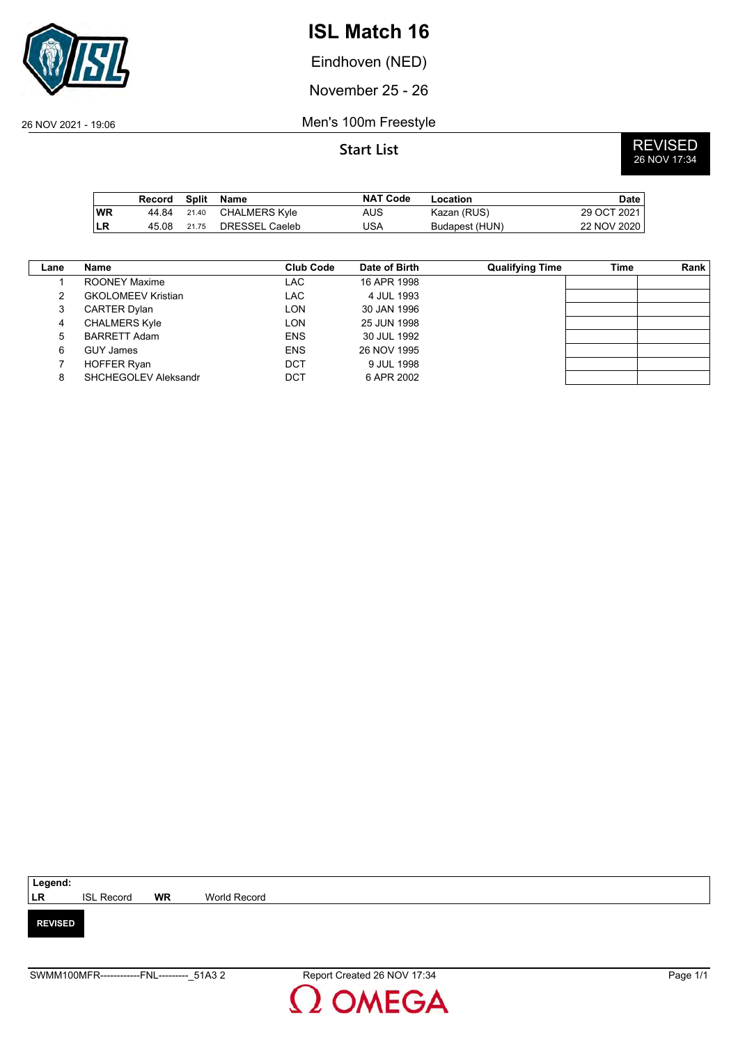

Eindhoven (NED)

November 25 - 26

26 NOV 2021 - 19:06 Men's 100m Freestyle

|           | Record |       | Split Name     | <b>NAT Code</b> | Location       | <b>Date</b> |
|-----------|--------|-------|----------------|-----------------|----------------|-------------|
| <b>WR</b> | 44 84  | 21.40 | CHALMERS Kyle  | AUS             | Kazan (RUS)    | 29 OCT 2021 |
| <b>LR</b> | 45.08  | 21.75 | DRESSEL Caeleb | USA             | Budapest (HUN) | 22 NOV 2020 |

| Lane | Name                      | Club Code  | Date of Birth | <b>Qualifying Time</b> | Time | Rank |
|------|---------------------------|------------|---------------|------------------------|------|------|
|      | ROONEY Maxime             | <b>LAC</b> | 16 APR 1998   |                        |      |      |
| 2    | <b>GKOLOMEEV Kristian</b> | LAC        | 4 JUL 1993    |                        |      |      |
| 3    | <b>CARTER Dylan</b>       | LON.       | 30 JAN 1996   |                        |      |      |
| 4    | <b>CHALMERS Kyle</b>      | <b>LON</b> | 25 JUN 1998   |                        |      |      |
| 5    | <b>BARRETT Adam</b>       | <b>ENS</b> | 30 JUL 1992   |                        |      |      |
| 6    | <b>GUY James</b>          | <b>ENS</b> | 26 NOV 1995   |                        |      |      |
|      | <b>HOFFER Ryan</b>        | DCT        | 9 JUL 1998    |                        |      |      |
| 8    | SHCHEGOLEV Aleksandr      | DCT        | 6 APR 2002    |                        |      |      |
|      |                           |            |               |                        |      |      |

| Legend:        |                   |           |              |
|----------------|-------------------|-----------|--------------|
| LR             | <b>ISL Record</b> | <b>WR</b> | World Record |
|                |                   |           |              |
| <b>REVISED</b> |                   |           |              |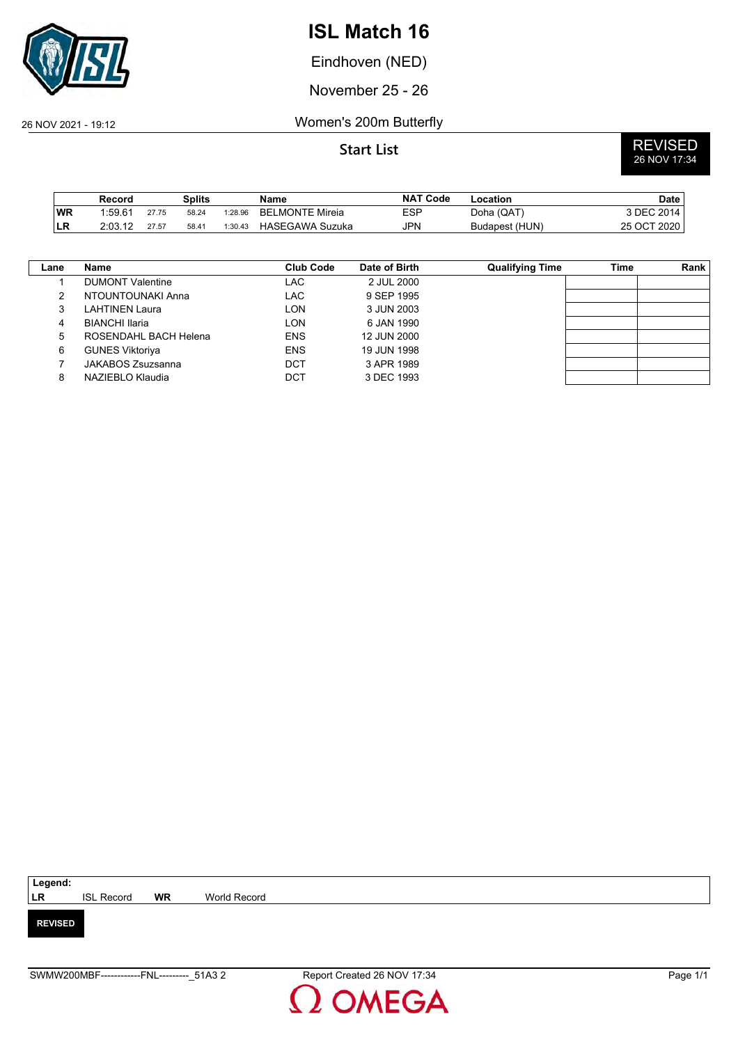

Eindhoven (NED)

November 25 - 26

## 26 NOV 2021 - 19:12 Women's 200m Butterfly

|     | Record  |       | Splits |         | Name                   | <b>NAT Code</b> | Location       | <b>Date</b> |
|-----|---------|-------|--------|---------|------------------------|-----------------|----------------|-------------|
| WR  | 1:59.61 | 27.75 | 58.24  | 1:28.96 | <b>BELMONTE Mireia</b> | ESP             | Doha (QAT)     | 3 DEC 2014  |
| ∣LR | 2:03.12 | 27.57 | 58.41  | 1:30.43 | HASEGAWA Suzuka        | <b>JPN</b>      | Budapest (HUN) | 25 OCT 2020 |

| Lane | <b>Name</b>             | Club Code  | Date of Birth | <b>Qualifying Time</b> | Time | Rank |
|------|-------------------------|------------|---------------|------------------------|------|------|
|      | <b>DUMONT Valentine</b> | LAC.       | 2 JUL 2000    |                        |      |      |
| 2    | NTOUNTOUNAKI Anna       | LAC        | 9 SEP 1995    |                        |      |      |
| 3    | LAHTINEN Laura          | LON        | 3 JUN 2003    |                        |      |      |
| 4    | <b>BIANCHI Ilaria</b>   | LON        | 6 JAN 1990    |                        |      |      |
| 5    | ROSENDAHL BACH Helena   | <b>ENS</b> | 12 JUN 2000   |                        |      |      |
| 6    | <b>GUNES Viktoriya</b>  | <b>ENS</b> | 19 JUN 1998   |                        |      |      |
|      | JAKABOS Zsuzsanna       | DCT        | 3 APR 1989    |                        |      |      |
| 8    | NAZIEBLO Klaudia        | DCT        | 3 DEC 1993    |                        |      |      |
|      |                         |            |               |                        |      |      |

| Legend:        |                   |           |              |
|----------------|-------------------|-----------|--------------|
| <b>LR</b>      | <b>ISL Record</b> | <b>WR</b> | World Record |
|                |                   |           |              |
| <b>REVISED</b> |                   |           |              |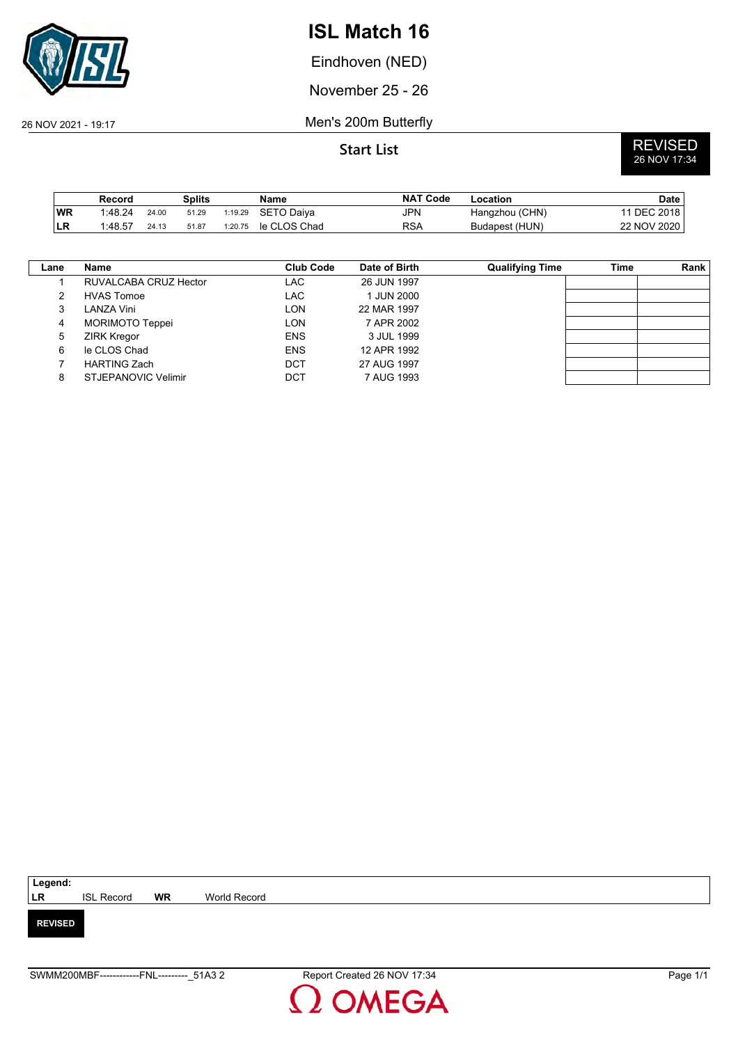

Eindhoven (NED)

November 25 - 26

26 NOV 2021 - 19:17 Men's 200m Butterfly

|    | Record  |       | Splits |         | Name         | <b>NAT Code</b> | Location       | <b>Date</b> |
|----|---------|-------|--------|---------|--------------|-----------------|----------------|-------------|
| WR | 1:48.24 | 24.00 | 51.29  | 1:19.29 | SETO Daiva   | JPN             | Hangzhou (CHN) | 11 DEC 2018 |
| LR | 1:48.57 | 24.13 | 51.87  | 1:20.75 | le CLOS Chad | RSA             | Budapest (HUN) | 22 NOV 2020 |

| Lane | Name                   | Club Code  | Date of Birth | <b>Qualifying Time</b> | Time | Rank |
|------|------------------------|------------|---------------|------------------------|------|------|
|      | RUVALCABA CRUZ Hector  | LAC        | 26 JUN 1997   |                        |      |      |
| 2    | <b>HVAS Tomoe</b>      | LAC        | 1 JUN 2000    |                        |      |      |
| 3    | LANZA Vini             | LON        | 22 MAR 1997   |                        |      |      |
| 4    | <b>MORIMOTO Teppei</b> | LON        | 7 APR 2002    |                        |      |      |
| 5    | <b>ZIRK Kregor</b>     | <b>ENS</b> | 3 JUL 1999    |                        |      |      |
| 6    | le CLOS Chad           | <b>ENS</b> | 12 APR 1992   |                        |      |      |
|      | <b>HARTING Zach</b>    | DCT        | 27 AUG 1997   |                        |      |      |
| 8    | STJEPANOVIC Velimir    | DCT        | 7 AUG 1993    |                        |      |      |

| Legend:        |                   |           |              |
|----------------|-------------------|-----------|--------------|
| LR             | <b>ISL Record</b> | <b>WR</b> | World Record |
|                |                   |           |              |
| <b>REVISED</b> |                   |           |              |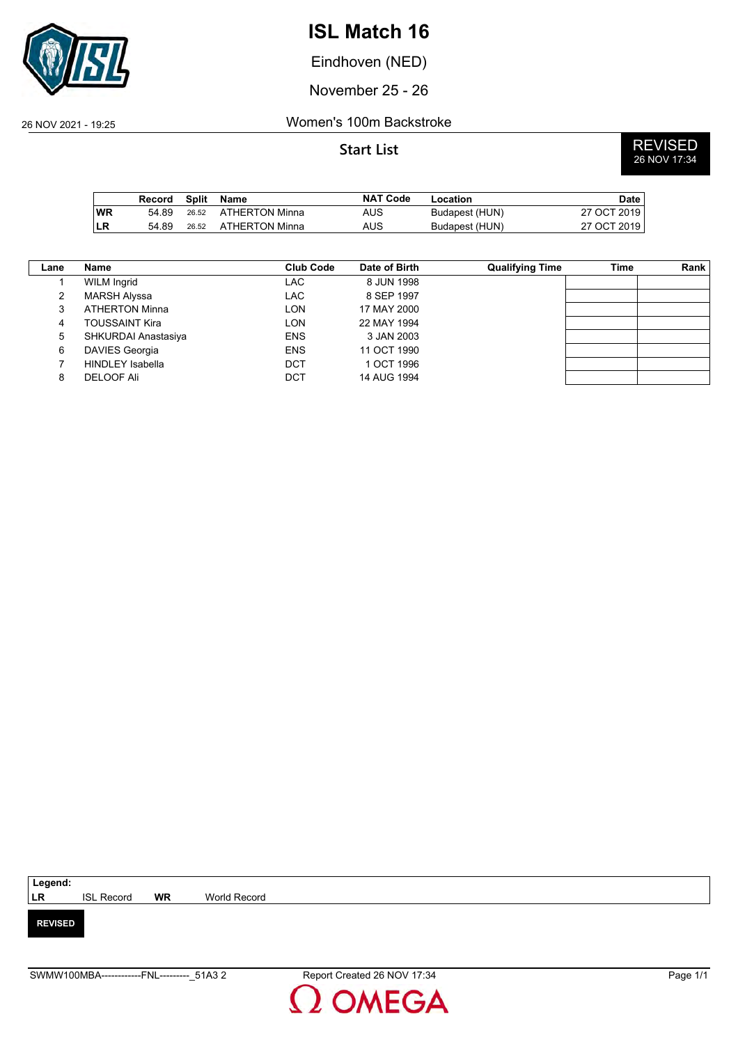

Eindhoven (NED)

November 25 - 26

### 26 NOV 2021 - 19:25 Women's 100m Backstroke

|           | Record | Split | Name                 | <b>NAT Code</b> | Location       | Date        |
|-----------|--------|-------|----------------------|-----------------|----------------|-------------|
| <b>WR</b> | 54 89  |       | 26.52 ATHERTON Minna | AUS.            | Budapest (HUN) | 27 OCT 2019 |
| <b>LR</b> | 54.89  | 26.52 | ATHERTON Minna       | AUS             | Budapest (HUN) | 27 OCT 2019 |

| Lane | Name                    | <b>Club Code</b> | Date of Birth | <b>Qualifying Time</b> | Time | Rank |
|------|-------------------------|------------------|---------------|------------------------|------|------|
|      | <b>WILM Ingrid</b>      | LAC              | 8 JUN 1998    |                        |      |      |
| っ    | <b>MARSH Alyssa</b>     | LAC              | 8 SEP 1997    |                        |      |      |
| 3    | <b>ATHERTON Minna</b>   | LON              | 17 MAY 2000   |                        |      |      |
| 4    | <b>TOUSSAINT Kira</b>   | LON              | 22 MAY 1994   |                        |      |      |
| 5    | SHKURDAI Anastasiya     | <b>ENS</b>       | 3 JAN 2003    |                        |      |      |
| 6    | <b>DAVIES Georgia</b>   | <b>ENS</b>       | 11 OCT 1990   |                        |      |      |
|      | <b>HINDLEY Isabella</b> | DCT              | 1 OCT 1996    |                        |      |      |
| 8    | <b>DELOOF Ali</b>       | DCT              | 14 AUG 1994   |                        |      |      |

| Legend:        |                   |           |              |
|----------------|-------------------|-----------|--------------|
| LR             | <b>ISL Record</b> | <b>WR</b> | World Record |
|                |                   |           |              |
| <b>REVISED</b> |                   |           |              |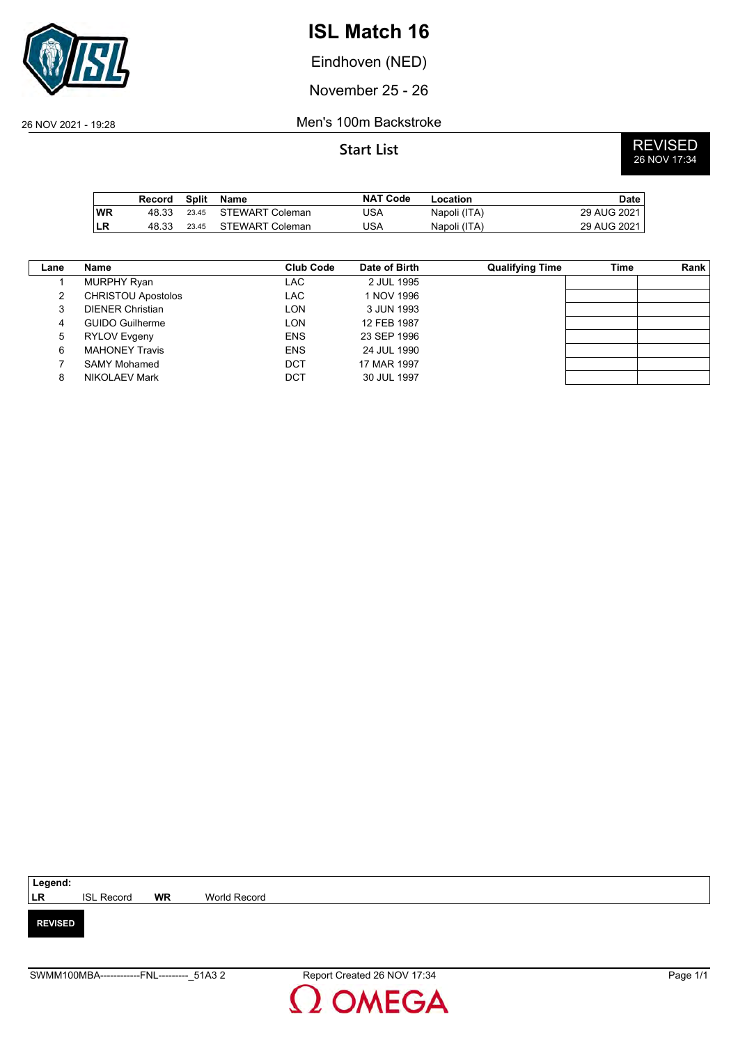

Eindhoven (NED)

November 25 - 26

26 NOV 2021 - 19:28 Men's 100m Backstroke

|           | Record | Split | Name            | <b>NAT Code</b> | Location     | Date        |
|-----------|--------|-------|-----------------|-----------------|--------------|-------------|
| <b>WR</b> | 48.33  | 23.45 | STEWART Coleman | USA             | Napoli (ITA) | 29 AUG 2021 |
| ∣LR       | 48.33  | 23.45 | STEWART Coleman | JSA             | Napoli (ITA) | 29 AUG 2021 |

| Lane | Name                      | Club Code  | Date of Birth | <b>Qualifying Time</b> | Time | Rank |
|------|---------------------------|------------|---------------|------------------------|------|------|
|      | <b>MURPHY Ryan</b>        | LAC.       | 2 JUL 1995    |                        |      |      |
| 2    | <b>CHRISTOU Apostolos</b> | LAC        | 1 NOV 1996    |                        |      |      |
| 3    | <b>DIENER Christian</b>   | LON        | 3 JUN 1993    |                        |      |      |
| 4    | <b>GUIDO Guilherme</b>    | LON        | 12 FEB 1987   |                        |      |      |
| 5    | <b>RYLOV Evgeny</b>       | <b>ENS</b> | 23 SEP 1996   |                        |      |      |
| 6    | <b>MAHONEY Travis</b>     | <b>ENS</b> | 24 JUL 1990   |                        |      |      |
|      | <b>SAMY Mohamed</b>       | DCT        | 17 MAR 1997   |                        |      |      |
| 8    | NIKOLAEV Mark             | DCT        | 30 JUL 1997   |                        |      |      |

| Legend:        |                   |           |              |
|----------------|-------------------|-----------|--------------|
| <b>LR</b>      | <b>ISL Record</b> | <b>WR</b> | World Record |
|                |                   |           |              |
| <b>REVISED</b> |                   |           |              |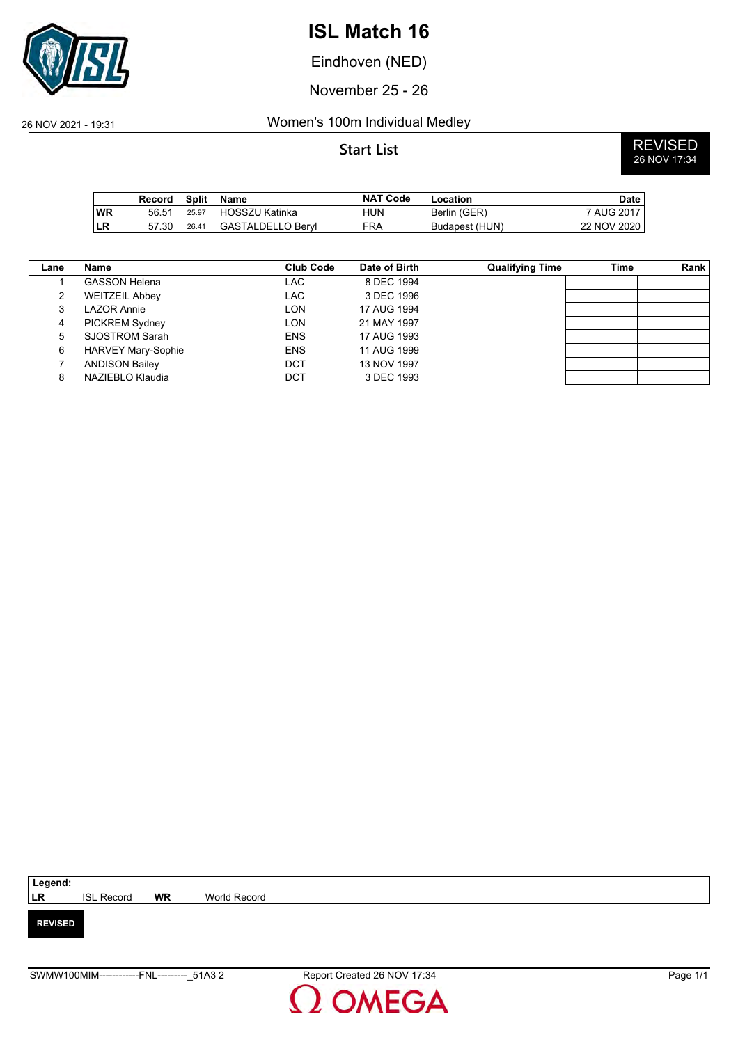

Eindhoven (NED)

November 25 - 26

## 26 NOV 2021 - 19:31 Women's 100m Individual Medley

|           | Record | Split | Name              | <b>NAT Code</b> | Location       | Date        |
|-----------|--------|-------|-------------------|-----------------|----------------|-------------|
| <b>WR</b> | 56.51  | 25.97 | HOSSZU Katinka    | HUN             | Berlin (GER)   | 7 AUG 2017  |
| ILR       | 57.30  | 26.41 | GASTALDELLO Bervl | <b>FRA</b>      | Budapest (HUN) | 22 NOV 2020 |

| Lane | Name                      | <b>Club Code</b> | Date of Birth | <b>Qualifying Time</b> | Time | Rank |
|------|---------------------------|------------------|---------------|------------------------|------|------|
|      | <b>GASSON Helena</b>      | LAC.             | 8 DEC 1994    |                        |      |      |
| 2    | <b>WEITZEIL Abbey</b>     | LAC              | 3 DEC 1996    |                        |      |      |
| 3    | LAZOR Annie               | LON              | 17 AUG 1994   |                        |      |      |
| 4    | <b>PICKREM Sydney</b>     | LON              | 21 MAY 1997   |                        |      |      |
| 5    | SJOSTROM Sarah            | <b>ENS</b>       | 17 AUG 1993   |                        |      |      |
| 6    | <b>HARVEY Mary-Sophie</b> | <b>ENS</b>       | 11 AUG 1999   |                        |      |      |
|      | <b>ANDISON Bailey</b>     | DCT              | 13 NOV 1997   |                        |      |      |
| 8    | NAZIEBLO Klaudia          | DCT              | 3 DEC 1993    |                        |      |      |

| Legend:        |                   |           |              |
|----------------|-------------------|-----------|--------------|
| <b>LR</b>      | <b>ISL Record</b> | <b>WR</b> | World Record |
|                |                   |           |              |
| <b>REVISED</b> |                   |           |              |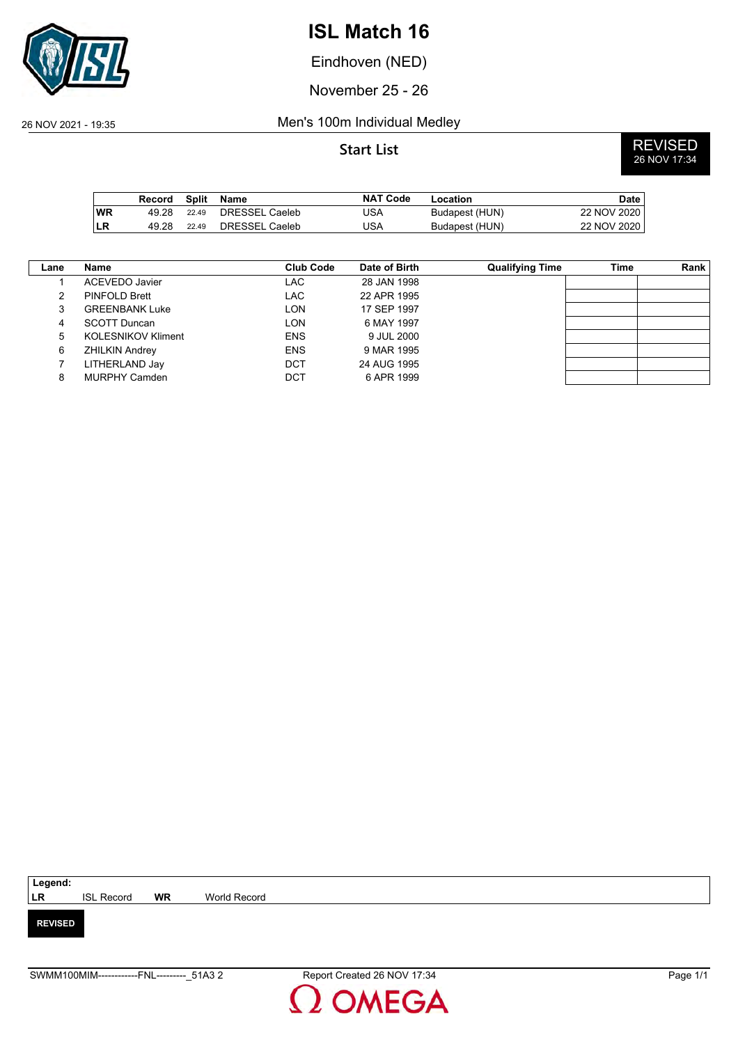

Eindhoven (NED)

November 25 - 26

## 26 NOV 2021 - 19:35 Men's 100m Individual Medley

**Start List** REVISED<br>26 NOV 17:34

|           | Record |       | Split Name     | <b>NAT Code</b> | Location       | <b>Date</b> |
|-----------|--------|-------|----------------|-----------------|----------------|-------------|
| <b>WR</b> | 49 28  | 22.49 | DRESSEL Caeleb | JSA             | Budapest (HUN) | 22 NOV 2020 |
| <b>LR</b> | 49.28  | 22.49 | DRESSEL Caeleb | JSA             | Budapest (HUN) | 22 NOV 2020 |

| Lane | Name                      | <b>Club Code</b> | Date of Birth | <b>Qualifying Time</b> | Time | Rank |
|------|---------------------------|------------------|---------------|------------------------|------|------|
|      | ACEVEDO Javier            | LAC              | 28 JAN 1998   |                        |      |      |
| 2    | <b>PINFOLD Brett</b>      | <b>LAC</b>       | 22 APR 1995   |                        |      |      |
| 3    | <b>GREENBANK Luke</b>     | LON              | 17 SEP 1997   |                        |      |      |
| 4    | <b>SCOTT Duncan</b>       | LON              | 6 MAY 1997    |                        |      |      |
| 5    | <b>KOLESNIKOV Kliment</b> | <b>ENS</b>       | 9 JUL 2000    |                        |      |      |
| 6    | <b>ZHILKIN Andrey</b>     | <b>ENS</b>       | 9 MAR 1995    |                        |      |      |
|      | LITHERLAND Jay            | <b>DCT</b>       | 24 AUG 1995   |                        |      |      |
| 8    | <b>MURPHY Camden</b>      | <b>DCT</b>       | 6 APR 1999    |                        |      |      |

| Legend:        |                   |           |              |
|----------------|-------------------|-----------|--------------|
| <b>LR</b>      | <b>ISL Record</b> | <b>WR</b> | World Record |
|                |                   |           |              |
| <b>REVISED</b> |                   |           |              |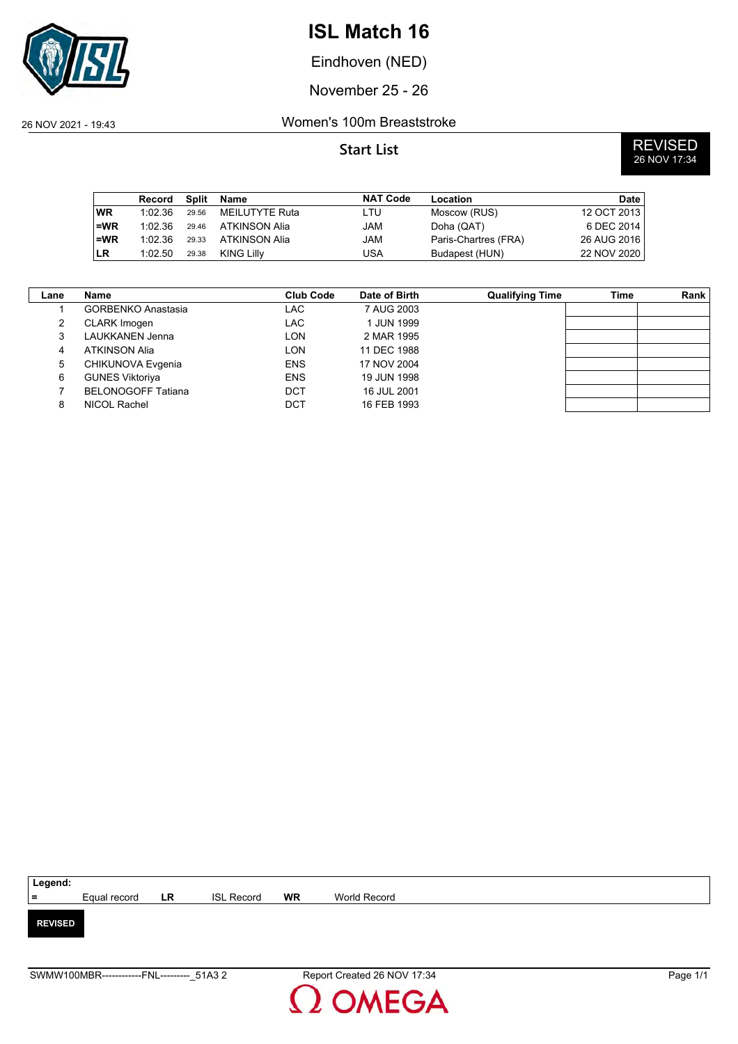

Eindhoven (NED)

November 25 - 26

### 26 NOV 2021 - 19:43 Women's 100m Breaststroke

|           | Record  | <b>Split</b> | Name           | <b>NAT Code</b> | Location             | Date        |
|-----------|---------|--------------|----------------|-----------------|----------------------|-------------|
| <b>WR</b> | 1:02.36 | 29.56        | MEILUTYTE Ruta | LTU             | Moscow (RUS)         | 12 OCT 2013 |
| $=WR$     | 1:02.36 | 29.46        | ATKINSON Alia  | JAM             | Doha (QAT)           | 6 DEC 2014  |
| $=WR$     | 1:02.36 | 29.33        | ATKINSON Alia  | JAM             | Paris-Chartres (FRA) | 26 AUG 2016 |
| ı LR      | 1:02.50 | 29.38        | KING Lilly     | USA             | Budapest (HUN)       | 22 NOV 2020 |

| Lane | <b>Name</b>               | <b>Club Code</b> | Date of Birth | <b>Qualifying Time</b> | Time | <b>Rank</b> |
|------|---------------------------|------------------|---------------|------------------------|------|-------------|
|      | <b>GORBENKO Anastasia</b> | LAC              | 7 AUG 2003    |                        |      |             |
| 2    | CLARK Imogen              | LAC.             | 1 JUN 1999    |                        |      |             |
| 3    | LAUKKANEN Jenna           | LON              | 2 MAR 1995    |                        |      |             |
| 4    | <b>ATKINSON Alia</b>      | LON              | 11 DEC 1988   |                        |      |             |
| 5    | CHIKUNOVA Evgenia         | <b>ENS</b>       | 17 NOV 2004   |                        |      |             |
| 6    | <b>GUNES Viktoriya</b>    | <b>ENS</b>       | 19 JUN 1998   |                        |      |             |
|      | <b>BELONOGOFF Tatiana</b> | <b>DCT</b>       | 16 JUL 2001   |                        |      |             |
| 8    | <b>NICOL Rachel</b>       | DCT              | 16 FEB 1993   |                        |      |             |

| $=$<br>Equal record LR<br><b>WR</b><br><b>ISL Record</b><br>World Record |
|--------------------------------------------------------------------------|
|                                                                          |
|                                                                          |
|                                                                          |
| <b>REVISED</b>                                                           |
|                                                                          |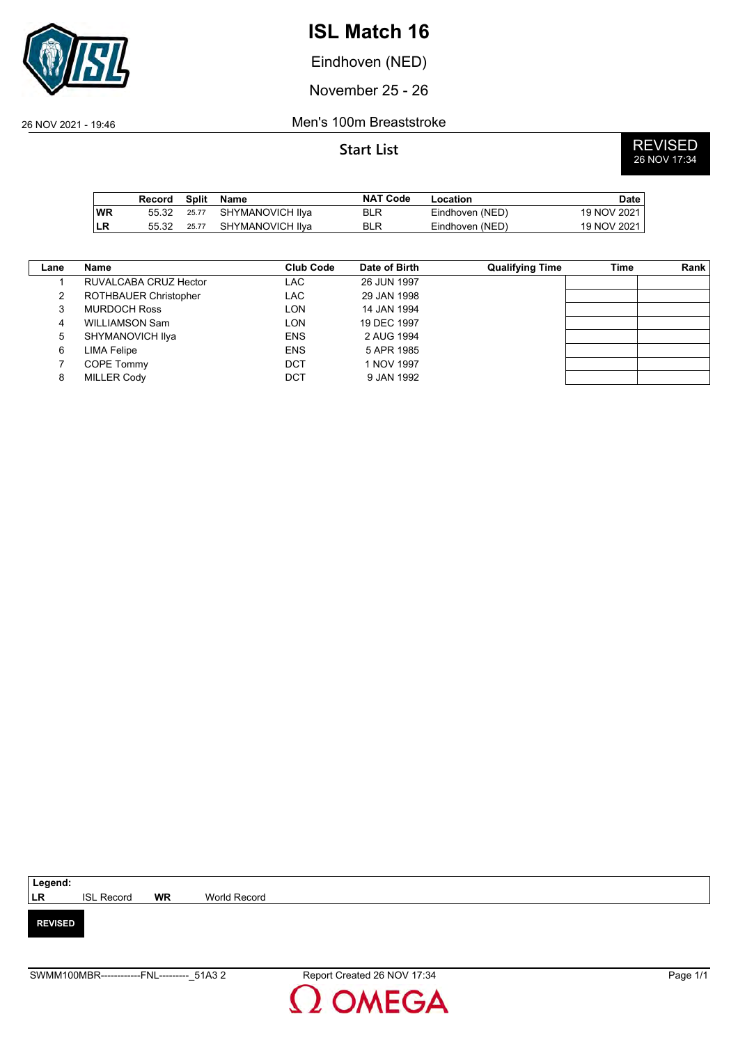

Eindhoven (NED)

November 25 - 26

26 NOV 2021 - 19:46 Men's 100m Breaststroke

|           | Record |       | Split Name       | <b>NAT Code</b> | Location        | Date        |
|-----------|--------|-------|------------------|-----------------|-----------------|-------------|
| <b>WR</b> | 55.32  | 25.77 | SHYMANOVICH IIva | <b>BLR</b>      | Eindhoven (NED) | 19 NOV 2021 |
| ∣LR       | 55.32  | 25.77 | SHYMANOVICH IIva | <b>BLR</b>      | Eindhoven (NED) | 19 NOV 2021 |

| Lane | Name                         | <b>Club Code</b> | Date of Birth | <b>Qualifying Time</b> | Time | Rank |
|------|------------------------------|------------------|---------------|------------------------|------|------|
|      | RUVALCABA CRUZ Hector        | LAC              | 26 JUN 1997   |                        |      |      |
| 2    | <b>ROTHBAUER Christopher</b> | LAC              | 29 JAN 1998   |                        |      |      |
| 3    | <b>MURDOCH Ross</b>          | LON              | 14 JAN 1994   |                        |      |      |
| 4    | <b>WILLIAMSON Sam</b>        | LON              | 19 DEC 1997   |                        |      |      |
| 5    | SHYMANOVICH IIya             | <b>ENS</b>       | 2 AUG 1994    |                        |      |      |
| 6    | LIMA Felipe                  | <b>ENS</b>       | 5 APR 1985    |                        |      |      |
|      | COPE Tommy                   | DCT              | 1 NOV 1997    |                        |      |      |
| 8    | <b>MILLER Cody</b>           | DCT              | 9 JAN 1992    |                        |      |      |

| Legend:        |                   |           |              |
|----------------|-------------------|-----------|--------------|
| LR             | <b>ISL Record</b> | <b>WR</b> | World Record |
|                |                   |           |              |
| <b>REVISED</b> |                   |           |              |

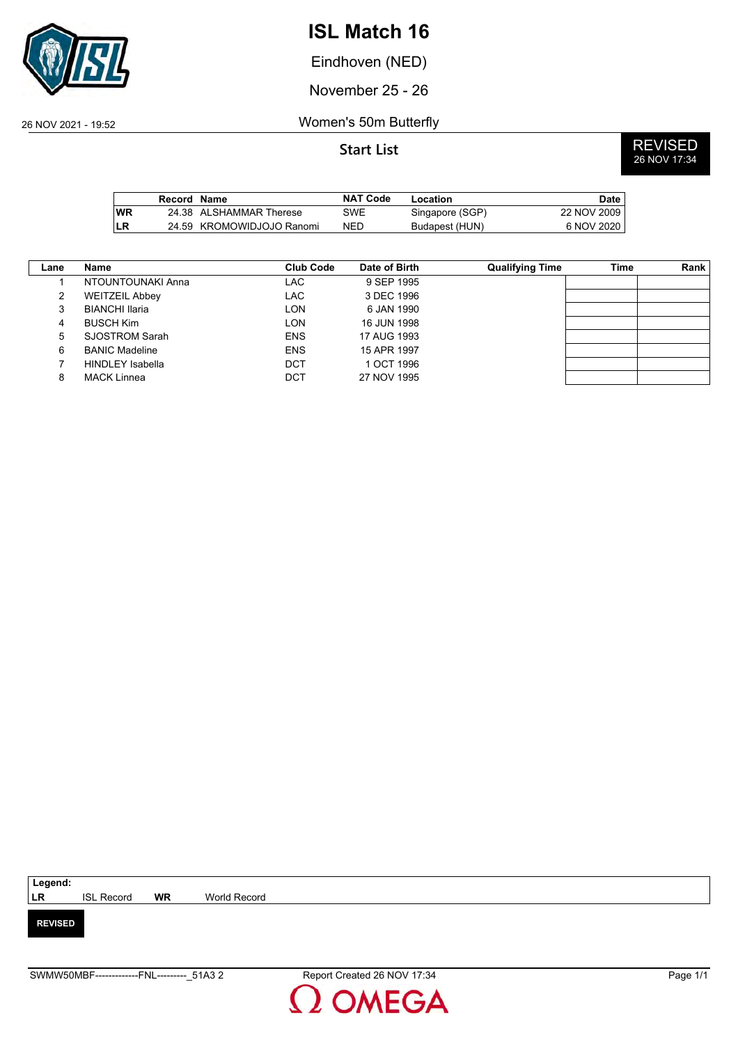

Eindhoven (NED)

November 25 - 26

26 NOV 2021 - 19:52 Women's 50m Butterfly

|            | Record Name |                           | <b>NAT Code</b> | Location        | Date        |
|------------|-------------|---------------------------|-----------------|-----------------|-------------|
| <b>IWR</b> |             | 24.38 ALSHAMMAR Therese   | SWE             | Singapore (SGP) | 22 NOV 2009 |
| LR         |             | 24.59 KROMOWIDJOJO Ranomi | NED             | Budapest (HUN)  | 6 NOV 2020  |

| Lane | Name                    | <b>Club Code</b> | Date of Birth | <b>Qualifying Time</b> | Time | Rank |
|------|-------------------------|------------------|---------------|------------------------|------|------|
|      | NTOUNTOUNAKI Anna       | LAC              | 9 SEP 1995    |                        |      |      |
| 2    | <b>WEITZEIL Abbey</b>   | LAC              | 3 DEC 1996    |                        |      |      |
| 3    | <b>BIANCHI Ilaria</b>   | LON              | 6 JAN 1990    |                        |      |      |
| 4    | <b>BUSCH Kim</b>        | LON              | 16 JUN 1998   |                        |      |      |
| 5    | SJOSTROM Sarah          | <b>ENS</b>       | 17 AUG 1993   |                        |      |      |
| 6    | <b>BANIC Madeline</b>   | <b>ENS</b>       | 15 APR 1997   |                        |      |      |
|      | <b>HINDLEY Isabella</b> | DCT              | 1 OCT 1996    |                        |      |      |
| 8    | <b>MACK Linnea</b>      | DCT              | 27 NOV 1995   |                        |      |      |

| Legend:        |                   |           |              |
|----------------|-------------------|-----------|--------------|
| <b>LR</b>      | <b>ISL Record</b> | <b>WR</b> | World Record |
|                |                   |           |              |
| <b>REVISED</b> |                   |           |              |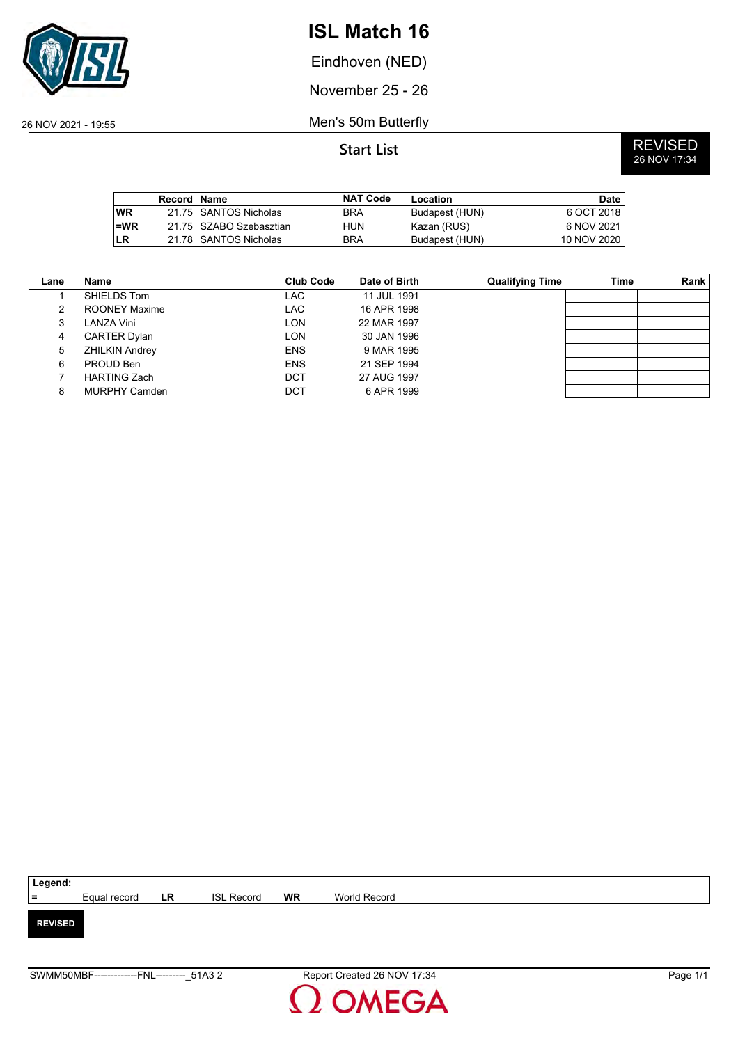

Eindhoven (NED)

November 25 - 26

26 NOV 2021 - 19:55 Men's 50m Butterfly

**Start List** REVISED<br>26 NOV 17:34

|            | Record Name |                         | <b>NAT Code</b> | Location       | <b>Date</b> |
|------------|-------------|-------------------------|-----------------|----------------|-------------|
| <b>IWR</b> |             | 21.75 SANTOS Nicholas   | <b>BRA</b>      | Budapest (HUN) | 6 OCT 2018  |
| l=WR       |             | 21.75 SZABO Szebasztian | HUN             | Kazan (RUS)    | 6 NOV 2021  |
| LR         |             | 21.78 SANTOS Nicholas   | <b>BRA</b>      | Budapest (HUN) | 10 NOV 2020 |

| Lane | Name                  | Club Code  | Date of Birth | <b>Qualifying Time</b> | Time | Rank |
|------|-----------------------|------------|---------------|------------------------|------|------|
|      | SHIELDS Tom           | LAC        | 11 JUL 1991   |                        |      |      |
| 2    | ROONEY Maxime         | LAC        | 16 APR 1998   |                        |      |      |
| 3    | LANZA Vini            | <b>LON</b> | 22 MAR 1997   |                        |      |      |
| 4    | <b>CARTER Dylan</b>   | <b>LON</b> | 30 JAN 1996   |                        |      |      |
| 5    | <b>ZHILKIN Andrey</b> | <b>ENS</b> | 9 MAR 1995    |                        |      |      |
| 6    | PROUD Ben             | <b>ENS</b> | 21 SEP 1994   |                        |      |      |
|      | <b>HARTING Zach</b>   | <b>DCT</b> | 27 AUG 1997   |                        |      |      |
| 8    | <b>MURPHY Camden</b>  | <b>DCT</b> | 6 APR 1999    |                        |      |      |

| Legend:        |                        |                   |           |              |
|----------------|------------------------|-------------------|-----------|--------------|
| $=$            | Equal record <b>LR</b> | <b>ISL Record</b> | <b>WR</b> | World Record |
|                |                        |                   |           |              |
| <b>REVISED</b> |                        |                   |           |              |
|                |                        |                   |           |              |
|                |                        |                   |           |              |

SWMM50MBF-------------FNL---------\_51A3 2 Report Created 26 NOV 17:34 Page 1/1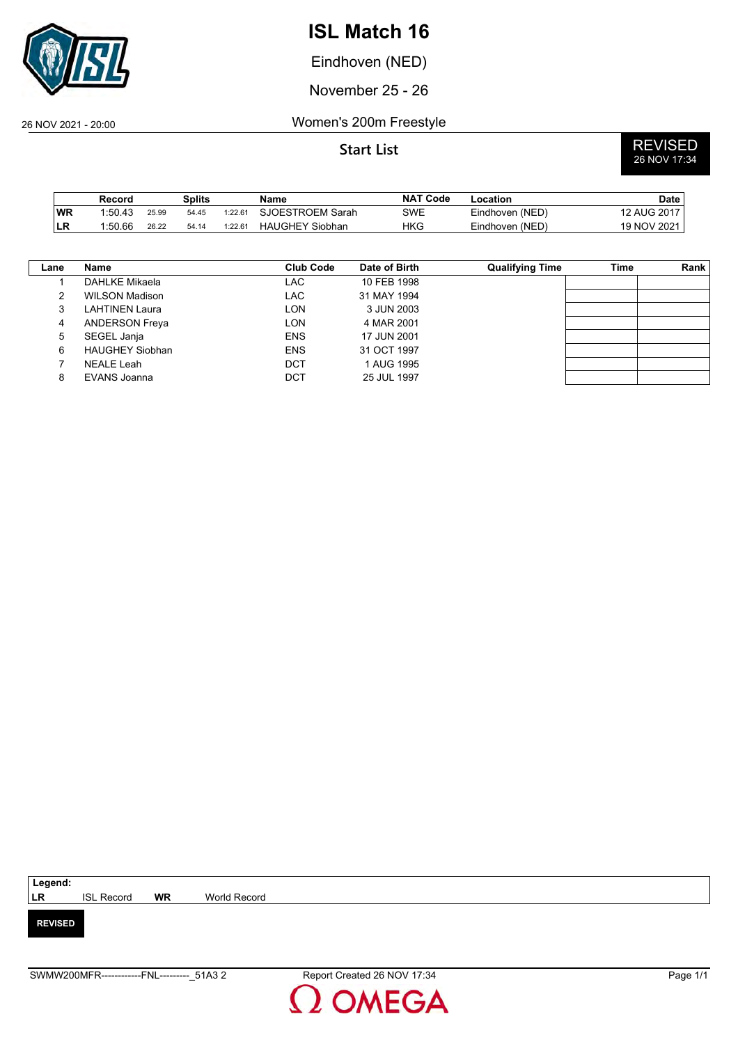

Eindhoven (NED)

November 25 - 26

26 NOV 2021 - 20:00 Women's 200m Freestyle

|            | Record  |       | Splits |         | Name                   | <b>NAT Code</b> | Location        | Date        |
|------------|---------|-------|--------|---------|------------------------|-----------------|-----------------|-------------|
| WR         | 1:50.43 | 25.99 | 54.45  | 1:22.61 | SJOESTROEM Sarah       | SWE             | Eindhoven (NED) | 12 AUG 2017 |
| <b>ILR</b> | 1:50.66 | 26.22 | 54.14  | 1:22.61 | <b>HAUGHEY Siobhan</b> | <b>HKG</b>      | Eindhoven (NED) | 19 NOV 2021 |

| Lane | Name                   | <b>Club Code</b> | Date of Birth | <b>Qualifying Time</b> | Time | Rank |
|------|------------------------|------------------|---------------|------------------------|------|------|
|      | DAHLKE Mikaela         | LAC              | 10 FEB 1998   |                        |      |      |
| 2    | <b>WILSON Madison</b>  | LAC              | 31 MAY 1994   |                        |      |      |
| 3    | LAHTINEN Laura         | LON              | 3 JUN 2003    |                        |      |      |
| 4    | <b>ANDERSON Freya</b>  | LON              | 4 MAR 2001    |                        |      |      |
| 5    | SEGEL Janja            | <b>ENS</b>       | 17 JUN 2001   |                        |      |      |
| 6    | <b>HAUGHEY Siobhan</b> | <b>ENS</b>       | 31 OCT 1997   |                        |      |      |
|      | NEALE Leah             | <b>DCT</b>       | 1 AUG 1995    |                        |      |      |
| 8    | EVANS Joanna           | <b>DCT</b>       | 25 JUL 1997   |                        |      |      |

| Legend:        |                   |           |              |
|----------------|-------------------|-----------|--------------|
| <b>LR</b>      | <b>ISL Record</b> | <b>WR</b> | World Record |
|                |                   |           |              |
| <b>REVISED</b> |                   |           |              |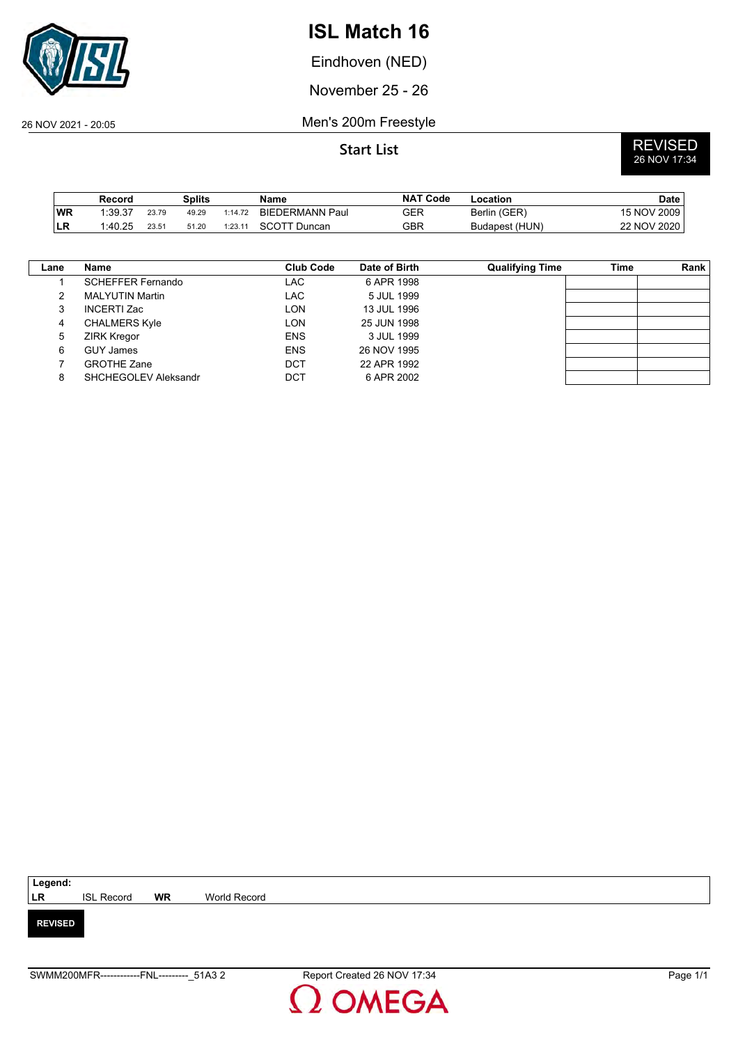

Eindhoven (NED)

November 25 - 26

26 NOV 2021 - 20:05 Men's 200m Freestyle

|           | Record  |       | Splits |         | Name                   | <b>NAT Code</b> | Location       | <b>Date</b> |
|-----------|---------|-------|--------|---------|------------------------|-----------------|----------------|-------------|
| WR        | 1:39.37 | 23.79 | 49.29  | 1:14.72 | <b>BIEDERMANN Paul</b> | GER             | Berlin (GER)   | 15 NOV 2009 |
| <b>LR</b> | 1:40.25 | 23.51 | 51.20  | 1:23.11 | <b>SCOTT Duncan</b>    | GBR             | Budapest (HUN) | 22 NOV 2020 |

| Lane | Name                     | Club Code  | Date of Birth | <b>Qualifying Time</b> | Time | Rank |
|------|--------------------------|------------|---------------|------------------------|------|------|
|      | <b>SCHEFFER Fernando</b> | LAC        | 6 APR 1998    |                        |      |      |
| າ    | <b>MALYUTIN Martin</b>   | LAC        | 5 JUL 1999    |                        |      |      |
| 3    | <b>INCERTI Zac</b>       | <b>LON</b> | 13 JUL 1996   |                        |      |      |
| 4    | <b>CHALMERS Kyle</b>     | LON        | 25 JUN 1998   |                        |      |      |
| 5    | <b>ZIRK Kregor</b>       | <b>ENS</b> | 3 JUL 1999    |                        |      |      |
| 6    | <b>GUY James</b>         | <b>ENS</b> | 26 NOV 1995   |                        |      |      |
|      | <b>GROTHE Zane</b>       | DCT        | 22 APR 1992   |                        |      |      |
| 8    | SHCHEGOLEV Aleksandr     | DCT        | 6 APR 2002    |                        |      |      |

| Legend:        |                   |           |              |
|----------------|-------------------|-----------|--------------|
| LR             | <b>ISL Record</b> | <b>WR</b> | World Record |
|                |                   |           |              |
| <b>REVISED</b> |                   |           |              |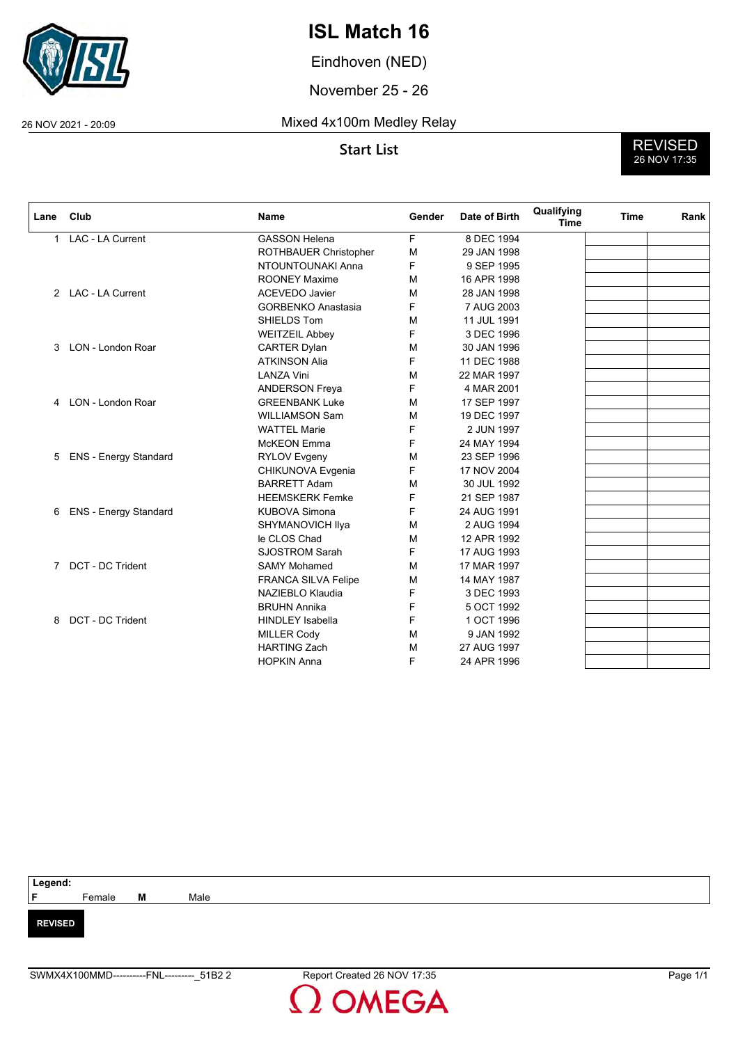

Eindhoven (NED)

November 25 - 26

## 26 NOV 2021 - 20:09 Mixed 4x100m Medley Relay

**Start List** REVISED<br>26 NOV 17:35

| Lane | Club                         | <b>Name</b>                | Gender | Date of Birth | Qualifying<br><b>Time</b> | <b>Time</b> | Rank |
|------|------------------------------|----------------------------|--------|---------------|---------------------------|-------------|------|
| 1    | LAC - LA Current             | <b>GASSON Helena</b>       | F      | 8 DEC 1994    |                           |             |      |
|      |                              | ROTHBAUER Christopher      | M      | 29 JAN 1998   |                           |             |      |
|      |                              | NTOUNTOUNAKI Anna          | F      | 9 SEP 1995    |                           |             |      |
|      |                              | <b>ROONEY Maxime</b>       | M      | 16 APR 1998   |                           |             |      |
|      | 2 LAC - LA Current           | <b>ACEVEDO Javier</b>      | M      | 28 JAN 1998   |                           |             |      |
|      |                              | <b>GORBENKO Anastasia</b>  | F      | 7 AUG 2003    |                           |             |      |
|      |                              | SHIELDS Tom                | М      | 11 JUL 1991   |                           |             |      |
|      |                              | <b>WEITZEIL Abbey</b>      | F      | 3 DEC 1996    |                           |             |      |
| 3    | LON - London Roar            | <b>CARTER Dylan</b>        | М      | 30 JAN 1996   |                           |             |      |
|      |                              | <b>ATKINSON Alia</b>       | F      | 11 DEC 1988   |                           |             |      |
|      |                              | <b>LANZA Vini</b>          | M      | 22 MAR 1997   |                           |             |      |
|      |                              | <b>ANDERSON Freya</b>      | F      | 4 MAR 2001    |                           |             |      |
| 4    | LON - London Roar            | <b>GREENBANK Luke</b>      | M      | 17 SEP 1997   |                           |             |      |
|      |                              | <b>WILLIAMSON Sam</b>      | M      | 19 DEC 1997   |                           |             |      |
|      |                              | <b>WATTEL Marie</b>        | F      | 2 JUN 1997    |                           |             |      |
|      |                              | <b>McKEON</b> Emma         | F      | 24 MAY 1994   |                           |             |      |
| 5    | <b>ENS - Energy Standard</b> | <b>RYLOV Evgeny</b>        | M      | 23 SEP 1996   |                           |             |      |
|      |                              | CHIKUNOVA Evgenia          | F      | 17 NOV 2004   |                           |             |      |
|      |                              | <b>BARRETT Adam</b>        | М      | 30 JUL 1992   |                           |             |      |
|      |                              | <b>HEEMSKERK Femke</b>     | F      | 21 SEP 1987   |                           |             |      |
| 6    | <b>ENS - Energy Standard</b> | <b>KUBOVA Simona</b>       | F      | 24 AUG 1991   |                           |             |      |
|      |                              | SHYMANOVICH IIya           | M      | 2 AUG 1994    |                           |             |      |
|      |                              | le CLOS Chad               | M      | 12 APR 1992   |                           |             |      |
|      |                              | <b>SJOSTROM Sarah</b>      | F      | 17 AUG 1993   |                           |             |      |
|      | 7 DCT - DC Trident           | <b>SAMY Mohamed</b>        | M      | 17 MAR 1997   |                           |             |      |
|      |                              | <b>FRANCA SILVA Felipe</b> | M      | 14 MAY 1987   |                           |             |      |
|      |                              | NAZIEBLO Klaudia           | F      | 3 DEC 1993    |                           |             |      |
|      |                              | <b>BRUHN Annika</b>        | F      | 5 OCT 1992    |                           |             |      |
| 8    | <b>DCT - DC Trident</b>      | <b>HINDLEY Isabella</b>    | F      | 1 OCT 1996    |                           |             |      |
|      |                              | <b>MILLER Cody</b>         | М      | 9 JAN 1992    |                           |             |      |
|      |                              | <b>HARTING Zach</b>        | M      | 27 AUG 1997   |                           |             |      |
|      |                              | <b>HOPKIN Anna</b>         | F      | 24 APR 1996   |                           |             |      |

| Legend:<br>F   |        |   |      |
|----------------|--------|---|------|
|                | Female | M | Male |
|                |        |   |      |
| <b>REVISED</b> |        |   |      |
|                |        |   |      |
|                |        |   |      |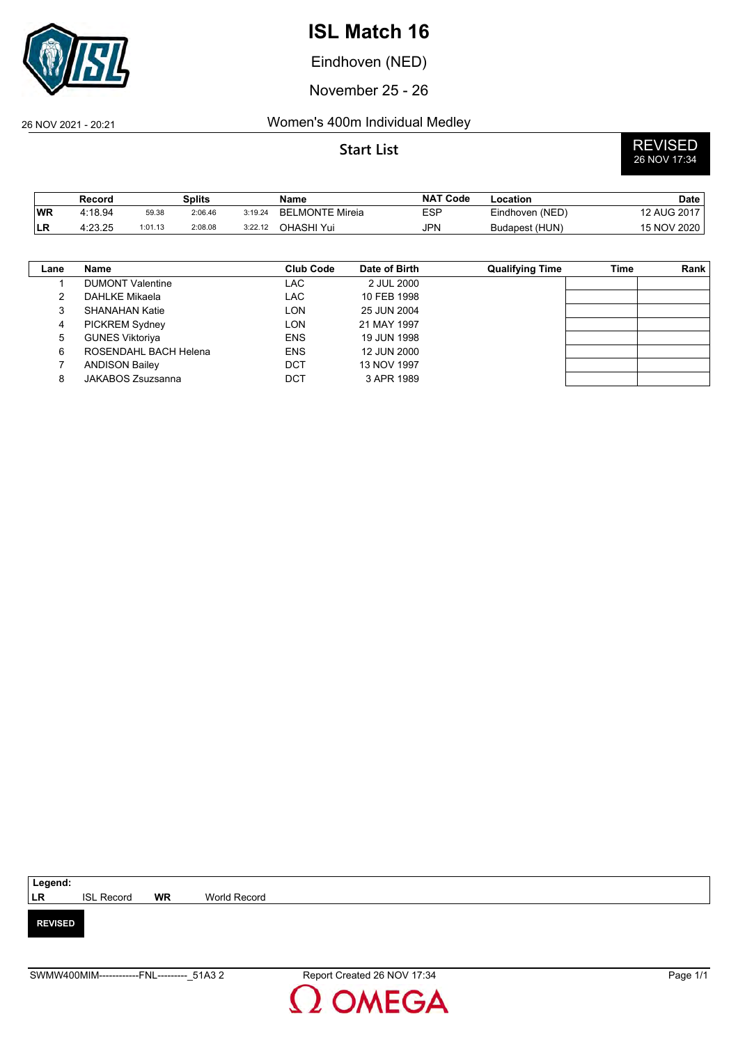

Eindhoven (NED)

November 25 - 26

### 26 NOV 2021 - 20:21 Women's 400m Individual Medley

# **Start List** REVISED<br>26 NOV 17:34

|           | Record  |         | <b>Splits</b> |         | Name            | <b>NAT Code</b> | Location        | Date        |
|-----------|---------|---------|---------------|---------|-----------------|-----------------|-----------------|-------------|
| <b>WR</b> | 4:18.94 | 59.38   | 2:06.46       | 3:19.24 | BELMONTE Mireia | ESP             | Eindhoven (NED) | 12 AUG 2017 |
| ILR.      | 4:23.25 | 1:01.13 | 2:08.08       | 3:22.12 | OHASHI Yui      | JPN             | Budapest (HUN)  | 15 NOV 2020 |

| Lane | <b>Name</b>             | <b>Club Code</b> | Date of Birth | <b>Qualifying Time</b> | Time | Rank |
|------|-------------------------|------------------|---------------|------------------------|------|------|
|      | <b>DUMONT Valentine</b> | LAC              | 2 JUL 2000    |                        |      |      |
|      | DAHLKE Mikaela          | LAC              | 10 FEB 1998   |                        |      |      |
|      | SHANAHAN Katie          | LON              | 25 JUN 2004   |                        |      |      |
| 4    | <b>PICKREM Sydney</b>   | LON              | 21 MAY 1997   |                        |      |      |
| 5    | <b>GUNES Viktoriya</b>  | <b>ENS</b>       | 19 JUN 1998   |                        |      |      |
| 6    | ROSENDAHL BACH Helena   | <b>ENS</b>       | 12 JUN 2000   |                        |      |      |
|      | <b>ANDISON Bailey</b>   | DCT              | 13 NOV 1997   |                        |      |      |
|      | JAKABOS Zsuzsanna       | DCT              | 3 APR 1989    |                        |      |      |

| Legend:        |                   |           |              |  |  |  |  |
|----------------|-------------------|-----------|--------------|--|--|--|--|
| <b>LR</b>      | <b>ISL Record</b> | <b>WR</b> | World Record |  |  |  |  |
|                |                   |           |              |  |  |  |  |
| <b>REVISED</b> |                   |           |              |  |  |  |  |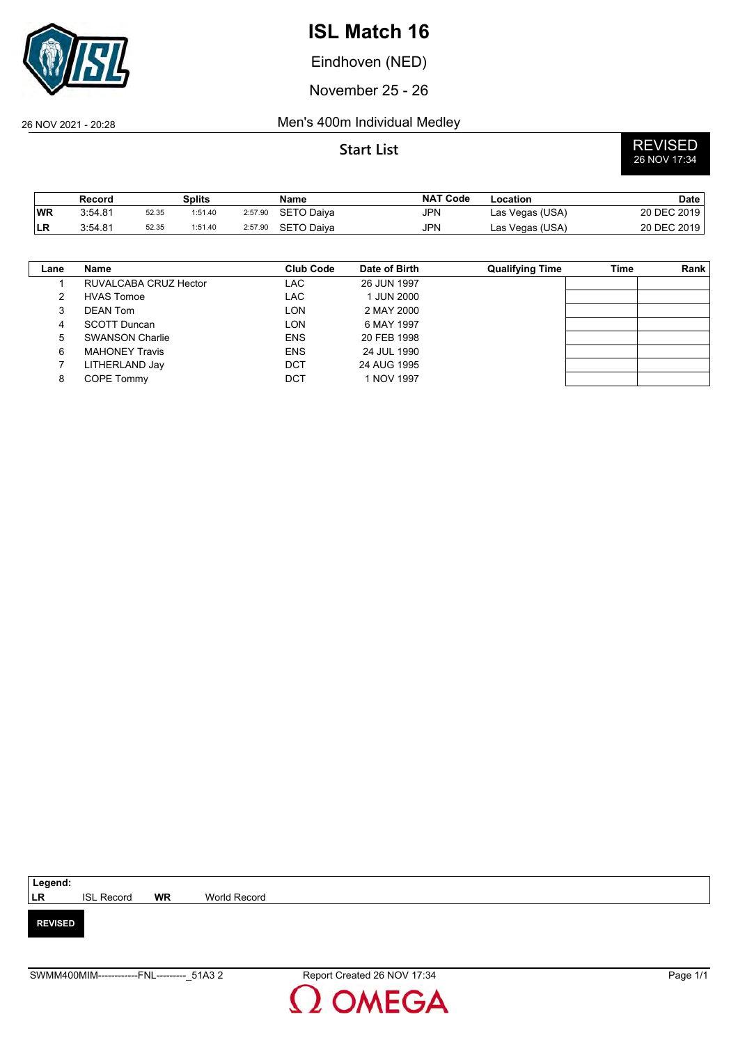

Eindhoven (NED)

November 25 - 26

## 26 NOV 2021 - 20:28 Men's 400m Individual Medley

|           | Record  |       | Splits  |         | Name              | <b>NAT Code</b> | Location        | <b>Date</b> |
|-----------|---------|-------|---------|---------|-------------------|-----------------|-----------------|-------------|
| <b>WR</b> | 3:54.81 | 52.35 | 1:51.40 | 2:57.90 | <b>SETO Daiva</b> | <b>JPN</b>      | Las Vegas (USA) | 20 DEC 2019 |
| LR        | 3:54.81 | 52.35 | 1:51.40 | 2:57.90 | SETO Daiva        | <b>JPN</b>      | Las Vegas (USA) | 20 DEC 2019 |

| Lane | Name                   | <b>Club Code</b> | Date of Birth | <b>Qualifying Time</b> | Time | Rank |
|------|------------------------|------------------|---------------|------------------------|------|------|
|      | RUVALCABA CRUZ Hector  | LAC              | 26 JUN 1997   |                        |      |      |
| 2    | <b>HVAS Tomoe</b>      | LAC              | 1 JUN 2000    |                        |      |      |
|      | <b>DEAN Tom</b>        | LON              | 2 MAY 2000    |                        |      |      |
| 4    | SCOTT Duncan           | LON              | 6 MAY 1997    |                        |      |      |
| 5    | <b>SWANSON Charlie</b> | <b>ENS</b>       | 20 FEB 1998   |                        |      |      |
| 6    | <b>MAHONEY Travis</b>  | <b>ENS</b>       | 24 JUL 1990   |                        |      |      |
|      | LITHERLAND Jay         | DCT              | 24 AUG 1995   |                        |      |      |
| 8    | <b>COPE Tommy</b>      | DCT              | 1 NOV 1997    |                        |      |      |

| Legend:        |                   |    |              |
|----------------|-------------------|----|--------------|
| <b>LR</b>      | <b>ISL Record</b> | WR | World Record |
|                |                   |    |              |
| <b>REVISED</b> |                   |    |              |

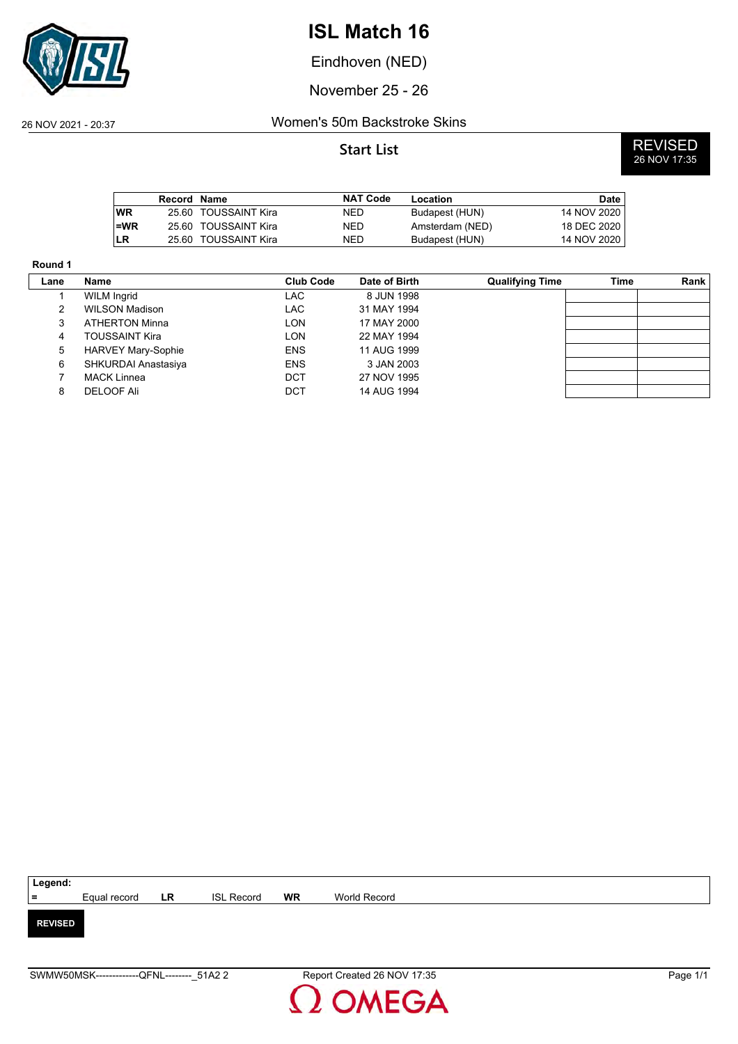

Eindhoven (NED)

November 25 - 26

### 26 NOV 2021 - 20:37 Women's 50m Backstroke Skins

|       | Record Name |                      | <b>NAT Code</b> | Location        | Date        |
|-------|-------------|----------------------|-----------------|-----------------|-------------|
| l WR  |             | 25.60 TOUSSAINT Kira | NED             | Budapest (HUN)  | 14 NOV 2020 |
| $=WR$ |             | 25.60 TOUSSAINT Kira | NED             | Amsterdam (NED) | 18 DEC 2020 |
| LR    | 25.60.      | TOUSSAINT Kira       | NED             | Budapest (HUN)  | 14 NOV 2020 |

| Round 1     |                           |                  |               |                        |      |      |
|-------------|---------------------------|------------------|---------------|------------------------|------|------|
| Lane        | Name                      | <b>Club Code</b> | Date of Birth | <b>Qualifying Time</b> | Time | Rank |
|             | <b>WILM Ingrid</b>        | LAC              | 8 JUN 1998    |                        |      |      |
| 2           | <b>WILSON Madison</b>     | <b>LAC</b>       | 31 MAY 1994   |                        |      |      |
| 3           | <b>ATHERTON Minna</b>     | <b>LON</b>       | 17 MAY 2000   |                        |      |      |
| 4           | <b>TOUSSAINT Kira</b>     | LON              | 22 MAY 1994   |                        |      |      |
| $5^{\circ}$ | <b>HARVEY Mary-Sophie</b> | <b>ENS</b>       | 11 AUG 1999   |                        |      |      |
| 6           | SHKURDAI Anastasiya       | <b>ENS</b>       | 3 JAN 2003    |                        |      |      |
|             | <b>MACK Linnea</b>        | DCT              | 27 NOV 1995   |                        |      |      |
| 8           | DELOOF Ali                | DCT              | 14 AUG 1994   |                        |      |      |

| Legend:        |              |           |                   |    |              |
|----------------|--------------|-----------|-------------------|----|--------------|
| $=$            | Equal record | <b>LR</b> | <b>ISL Record</b> | WR | World Record |
|                |              |           |                   |    |              |
| <b>REVISED</b> |              |           |                   |    |              |
|                |              |           |                   |    |              |
|                |              |           |                   |    |              |